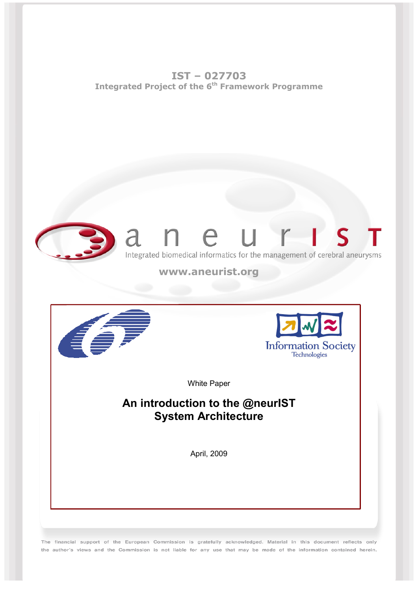**IST – 027703 Integrated Project of the 6th Framework Programme** 



The financial support of the European Commission is gratefully acknowledged. Material in this document reflects only the author's views and the Commission is not liable for any use that may be made of the information contained herein.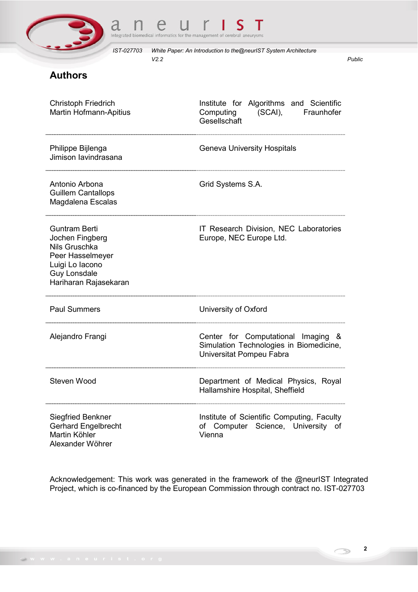



# **Authors**

| <b>Christoph Friedrich</b><br>Martin Hofmann-Apitius                                                                                            | Institute for Algorithms and Scientific<br>Computing<br>(SCAI),<br>Fraunhofer<br>Gesellschaft             |
|-------------------------------------------------------------------------------------------------------------------------------------------------|-----------------------------------------------------------------------------------------------------------|
| Philippe Bijlenga<br>Jimison lavindrasana                                                                                                       | <b>Geneva University Hospitals</b>                                                                        |
| Antonio Arbona<br><b>Guillem Cantallops</b><br>Magdalena Escalas                                                                                | Grid Systems S.A.                                                                                         |
| <b>Guntram Berti</b><br>Jochen Fingberg<br>Nils Gruschka<br>Peer Hasselmeyer<br>Luigi Lo Iacono<br><b>Guy Lonsdale</b><br>Hariharan Rajasekaran | IT Research Division, NEC Laboratories<br>Europe, NEC Europe Ltd.                                         |
| <b>Paul Summers</b>                                                                                                                             | University of Oxford                                                                                      |
| Alejandro Frangi                                                                                                                                | Center for Computational Imaging &<br>Simulation Technologies in Biomedicine,<br>Universitat Pompeu Fabra |
| Steven Wood                                                                                                                                     | Department of Medical Physics, Royal<br>Hallamshire Hospital, Sheffield                                   |
| <b>Siegfried Benkner</b><br><b>Gerhard Engelbrecht</b><br>Martin Köhler<br>Alexander Wöhrer                                                     | Institute of Scientific Computing, Faculty<br>of Computer Science, University<br>of<br>Vienna             |

Acknowledgement: This work was generated in the framework of the @neurIST Integrated Project, which is co-financed by the European Commission through contract no. IST-027703

 $\bigcirc$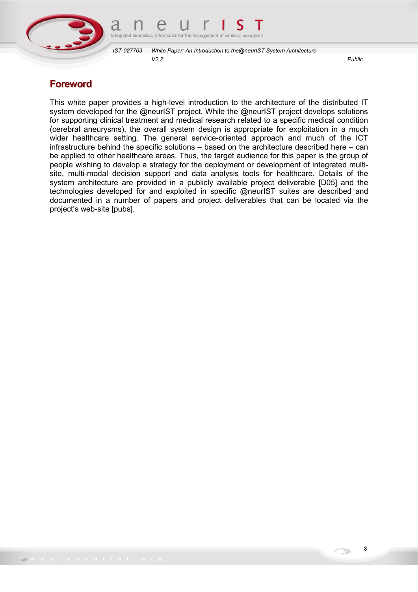



## **Foreword**

This white paper provides a high-level introduction to the architecture of the distributed IT system developed for the @neurIST project. While the @neurIST project develops solutions for supporting clinical treatment and medical research related to a specific medical condition (cerebral aneurysms), the overall system design is appropriate for exploitation in a much wider healthcare setting. The general service-oriented approach and much of the ICT infrastructure behind the specific solutions – based on the architecture described here – can be applied to other healthcare areas. Thus, the target audience for this paper is the group of people wishing to develop a strategy for the deployment or development of integrated multisite, multi-modal decision support and data analysis tools for healthcare. Details of the system architecture are provided in a publicly available project deliverable [D05] and the technologies developed for and exploited in specific @neurIST suites are described and documented in a number of papers and project deliverables that can be located via the project's web-site [pubs].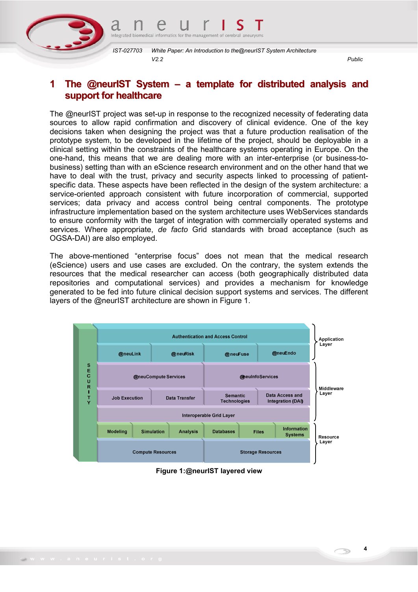

## **1 The @neurIST System – a template for distributed analysis and support for healthcare**

The @neurIST project was set-up in response to the recognized necessity of federating data sources to allow rapid confirmation and discovery of clinical evidence. One of the key decisions taken when designing the project was that a future production realisation of the prototype system, to be developed in the lifetime of the project, should be deployable in a clinical setting within the constraints of the healthcare systems operating in Europe. On the one-hand, this means that we are dealing more with an inter-enterprise (or business-tobusiness) setting than with an eScience research environment and on the other hand that we have to deal with the trust, privacy and security aspects linked to processing of patientspecific data. These aspects have been reflected in the design of the system architecture: a service-oriented approach consistent with future incorporation of commercial, supported services; data privacy and access control being central components. The prototype infrastructure implementation based on the system architecture uses WebServices standards to ensure conformity with the target of integration with commercially operated systems and services. Where appropriate, *de facto* Grid standards with broad acceptance (such as OGSA-DAI) are also employed.

The above-mentioned "enterprise focus" does not mean that the medical research (eScience) users and use cases are excluded. On the contrary, the system extends the resources that the medical researcher can access (both geographically distributed data repositories and computational services) and provides a mechanism for knowledge generated to be fed into future clinical decision support systems and services. The different layers of the @neurIST architecture are shown in Figure 1.



**Figure 1:@neurIST layered view** 

**4**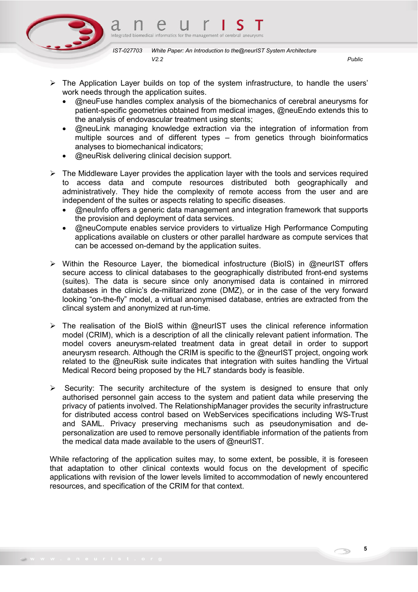

- 
- $\triangleright$  The Application Layer builds on top of the system infrastructure, to handle the users' work needs through the application suites.
	- @neuFuse handles complex analysis of the biomechanics of cerebral aneurysms for patient-specific geometries obtained from medical images, @neuEndo extends this to the analysis of endovascular treatment using stents;
	- @neuLink managing knowledge extraction via the integration of information from multiple sources and of different types – from genetics through bioinformatics analyses to biomechanical indicators;
	- @neuRisk delivering clinical decision support.
- $\triangleright$  The Middleware Layer provides the application layer with the tools and services required to access data and compute resources distributed both geographically and administratively. They hide the complexity of remote access from the user and are independent of the suites or aspects relating to specific diseases.
	- @neuInfo offers a generic data management and integration framework that supports the provision and deployment of data services.
	- @neuCompute enables service providers to virtualize High Performance Computing applications available on clusters or other parallel hardware as compute services that can be accessed on-demand by the application suites.
- $\triangleright$  Within the Resource Layer, the biomedical infostructure (BioIS) in @neurIST offers secure access to clinical databases to the geographically distributed front-end systems (suites). The data is secure since only anonymised data is contained in mirrored databases in the clinic's de-militarized zone (DMZ), or in the case of the very forward looking "on-the-fly" model, a virtual anonymised database, entries are extracted from the clincal system and anonymized at run-time.
- $\triangleright$  The realisation of the BioIS within @neurIST uses the clinical reference information model (CRIM), which is a description of all the clinically relevant patient information. The model covers aneurysm-related treatment data in great detail in order to support aneurysm research. Although the CRIM is specific to the @neurIST project, ongoing work related to the @neuRisk suite indicates that integration with suites handling the Virtual Medical Record being proposed by the HL7 standards body is feasible.
- $\triangleright$  Security: The security architecture of the system is designed to ensure that only authorised personnel gain access to the system and patient data while preserving the privacy of patients involved. The RelationshipManager provides the security infrastructure for distributed access control based on WebServices specifications including WS-Trust and SAML. Privacy preserving mechanisms such as pseudonymisation and depersonalization are used to remove personally identifiable information of the patients from the medical data made available to the users of @neurIST.

While refactoring of the application suites may, to some extent, be possible, it is foreseen that adaptation to other clinical contexts would focus on the development of specific applications with revision of the lower levels limited to accommodation of newly encountered resources, and specification of the CRIM for that context.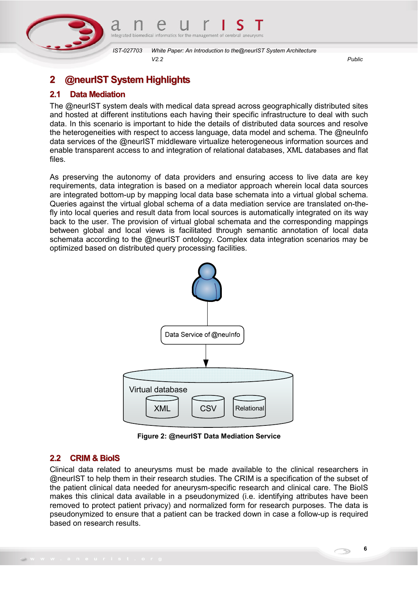

# **2 @neurIST System Highlights**

### **2.1 Data Mediation**

The @neurIST system deals with medical data spread across geographically distributed sites and hosted at different institutions each having their specific infrastructure to deal with such data. In this scenario is important to hide the details of distributed data sources and resolve the heterogeneities with respect to access language, data model and schema. The @neuInfo data services of the @neurIST middleware virtualize heterogeneous information sources and enable transparent access to and integration of relational databases, XML databases and flat files.

As preserving the autonomy of data providers and ensuring access to live data are key requirements, data integration is based on a mediator approach wherein local data sources are integrated bottom-up by mapping local data base schemata into a virtual global schema. Queries against the virtual global schema of a data mediation service are translated on-thefly into local queries and result data from local sources is automatically integrated on its way back to the user. The provision of virtual global schemata and the corresponding mappings between global and local views is facilitated through semantic annotation of local data schemata according to the @neurIST ontology. Complex data integration scenarios may be optimized based on distributed query processing facilities.



**Figure 2: @neurIST Data Mediation Service** 

### **2.2 CRIM & BioIS**

Clinical data related to aneurysms must be made available to the clinical researchers in @neurIST to help them in their research studies. The CRIM is a specification of the subset of the patient clinical data needed for aneurysm-specific research and clinical care. The BioIS makes this clinical data available in a pseudonymized (i.e. identifying attributes have been removed to protect patient privacy) and normalized form for research purposes. The data is pseudonymized to ensure that a patient can be tracked down in case a follow-up is required based on research results.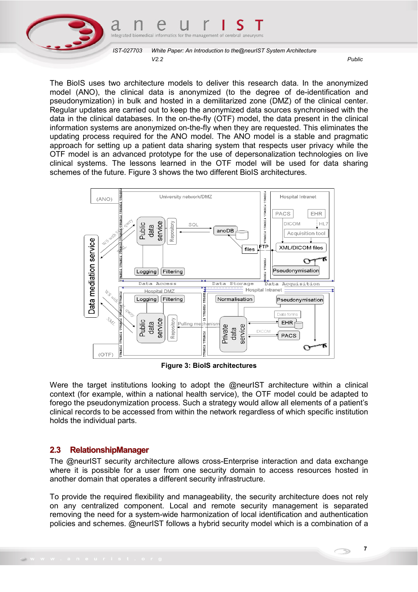

The BioIS uses two architecture models to deliver this research data. In the anonymized model (ANO), the clinical data is anonymized (to the degree of de-identification and pseudonymization) in bulk and hosted in a demilitarized zone (DMZ) of the clinical center. Regular updates are carried out to keep the anonymized data sources synchronised with the data in the clinical databases. In the on-the-fly (OTF) model, the data present in the clinical information systems are anonymized on-the-fly when they are requested. This eliminates the updating process required for the ANO model. The ANO model is a stable and pragmatic approach for setting up a patient data sharing system that respects user privacy while the OTF model is an advanced prototype for the use of depersonalization technologies on live clinical systems. The lessons learned in the OTF model will be used for data sharing schemes of the future. Figure 3 shows the two different BioIS architectures.



**Figure 3: BioIS architectures** 

Were the target institutions looking to adopt the @neurIST architecture within a clinical context (for example, within a national health service), the OTF model could be adapted to forego the pseudonymization process. Such a strategy would allow all elements of a patient's clinical records to be accessed from within the network regardless of which specific institution holds the individual parts.

#### **2.3 RelationshipManager**

The @neurIST security architecture allows cross-Enterprise interaction and data exchange where it is possible for a user from one security domain to access resources hosted in another domain that operates a different security infrastructure.

To provide the required flexibility and manageability, the security architecture does not rely on any centralized component. Local and remote security management is separated removing the need for a system-wide harmonization of local identification and authentication policies and schemes. @neurIST follows a hybrid security model which is a combination of a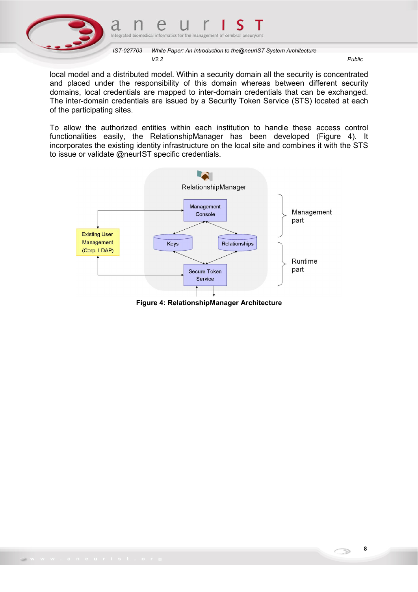



local model and a distributed model. Within a security domain all the security is concentrated and placed under the responsibility of this domain whereas between different security domains, local credentials are mapped to inter-domain credentials that can be exchanged. The inter-domain credentials are issued by a Security Token Service (STS) located at each of the participating sites.

To allow the authorized entities within each institution to handle these access control functionalities easily, the RelationshipManager has been developed (Figure 4). It incorporates the existing identity infrastructure on the local site and combines it with the STS to issue or validate @neurIST specific credentials.



**Figure 4: RelationshipManager Architecture**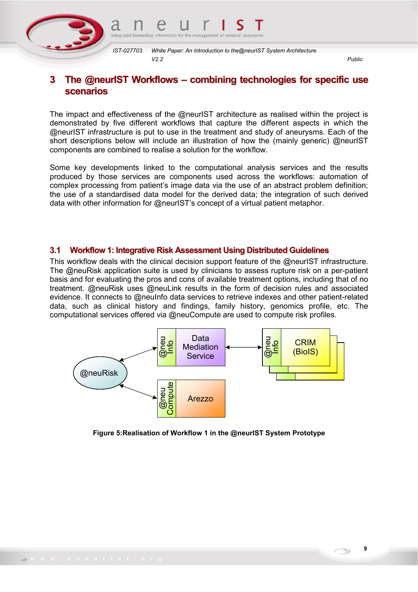

## **3 The @neurIST Workflows – combining technologies for specific use scenarios**

The impact and effectiveness of the @neurIST architecture as realised within the project is demonstrated by five different workflows that capture the different aspects in which the @neurIST infrastructure is put to use in the treatment and study of aneurysms. Each of the short descriptions below will include an illustration of how the (mainly generic) @neurIST components are combined to realise a solution for the workflow.

Some key developments linked to the computational analysis services and the results produced by those services are components used across the workflows: automation of complex processing from patient's image data via the use of an abstract problem definition; the use of a standardised data model for the derived data; the integration of such derived data with other information for @neurIST's concept of a virtual patient metaphor.

#### **3.1 Workflow 1: Integrative Risk Assessment Using Distributed Guidelines**

This workflow deals with the clinical decision support feature of the @neurIST infrastructure. The @neuRisk application suite is used by clinicians to assess rupture risk on a per-patient basis and for evaluating the pros and cons of available treatment options, including that of no treatment. @neuRisk uses @neuLink results in the form of decision rules and associated evidence. It connects to @neuInfo data services to retrieve indexes and other patient-related data, such as clinical history and findings, family history, genomics profile, etc. The computational services offered via @neuCompute are used to compute risk profiles.



**Figure 5:Realisation of Workflow 1 in the @neurIST System Prototype** 

**9**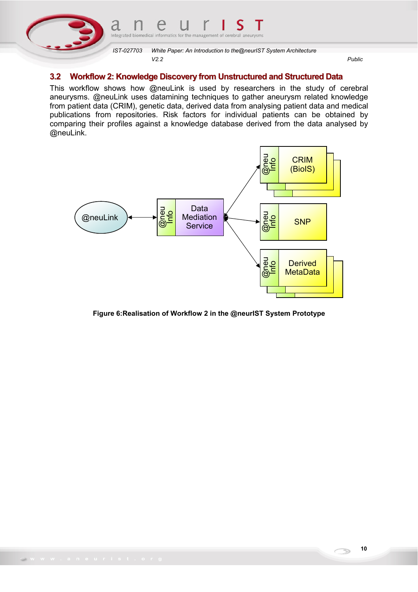

#### **3.2 Workflow 2: Knowledge Discovery from Unstructured and Structured Data**

This workflow shows how @neuLink is used by researchers in the study of cerebral aneurysms. @neuLink uses datamining techniques to gather aneurysm related knowledge from patient data (CRIM), genetic data, derived data from analysing patient data and medical publications from repositories. Risk factors for individual patients can be obtained by comparing their profiles against a knowledge database derived from the data analysed by @neuLink.



**Figure 6:Realisation of Workflow 2 in the @neurIST System Prototype**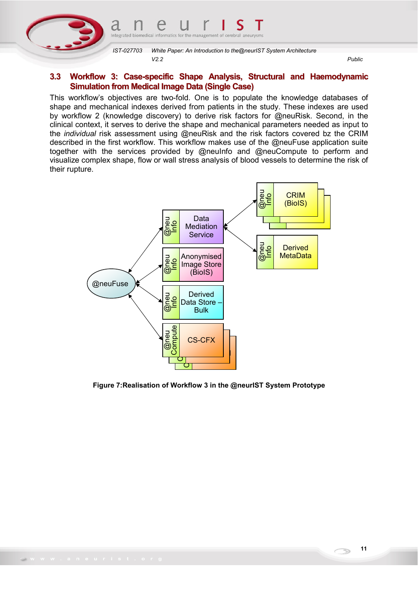

#### **3.3 Workflow 3: Case-specific Shape Analysis, Structural and Haemodynamic Simulation from Medical Image Data (Single Case)**

This workflow's objectives are two-fold. One is to populate the knowledge databases of shape and mechanical indexes derived from patients in the study. These indexes are used by workflow 2 (knowledge discovery) to derive risk factors for @neuRisk. Second, in the clinical context, it serves to derive the shape and mechanical parameters needed as input to the *individual* risk assessment using @neuRisk and the risk factors covered bz the CRIM described in the first workflow. This workflow makes use of the @neuFuse application suite together with the services provided by @neuInfo and @neuCompute to perform and visualize complex shape, flow or wall stress analysis of blood vessels to determine the risk of their rupture.



**Figure 7:Realisation of Workflow 3 in the @neurIST System Prototype**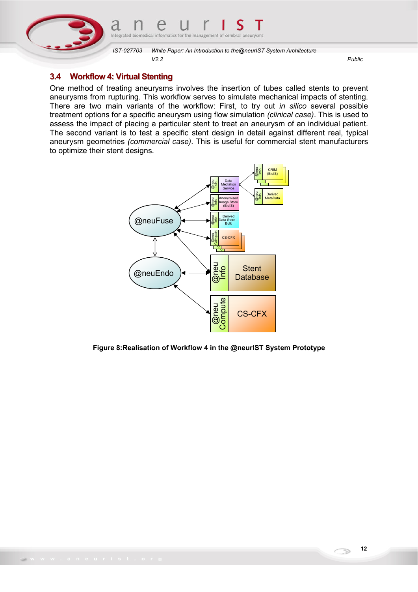

### **3.4 Workflow 4: Virtual Stenting**

One method of treating aneurysms involves the insertion of tubes called stents to prevent aneurysms from rupturing. This workflow serves to simulate mechanical impacts of stenting. There are two main variants of the workflow: First, to try out *in silico* several possible treatment options for a specific aneurysm using flow simulation *(clinical case)*. This is used to assess the impact of placing a particular stent to treat an aneurysm of an individual patient. The second variant is to test a specific stent design in detail against different real, typical aneurysm geometries *(commercial case)*. This is useful for commercial stent manufacturers to optimize their stent designs.



#### **Figure 8:Realisation of Workflow 4 in the @neurIST System Prototype**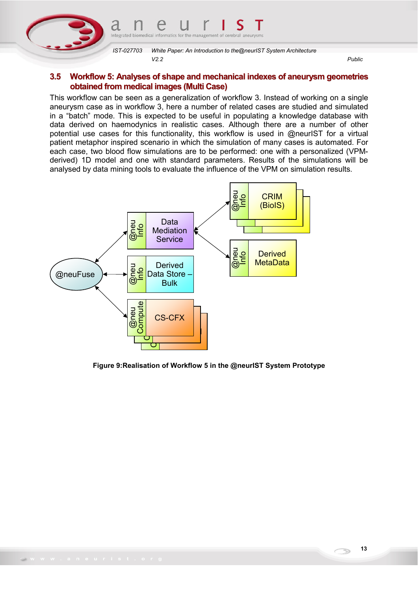

#### **3.5 Workflow 5: Analyses of shape and mechanical indexes of aneurysm geometries obtained from medical images (Multi Case)**

This workflow can be seen as a generalization of workflow 3. Instead of working on a single aneurysm case as in workflow 3, here a number of related cases are studied and simulated in a "batch" mode. This is expected to be useful in populating a knowledge database with data derived on haemodynics in realistic cases. Although there are a number of other potential use cases for this functionality, this workflow is used in @neurIST for a virtual patient metaphor inspired scenario in which the simulation of many cases is automated. For each case, two blood flow simulations are to be performed: one with a personalized (VPMderived) 1D model and one with standard parameters. Results of the simulations will be analysed by data mining tools to evaluate the influence of the VPM on simulation results.



#### **Figure 9:Realisation of Workflow 5 in the @neurIST System Prototype**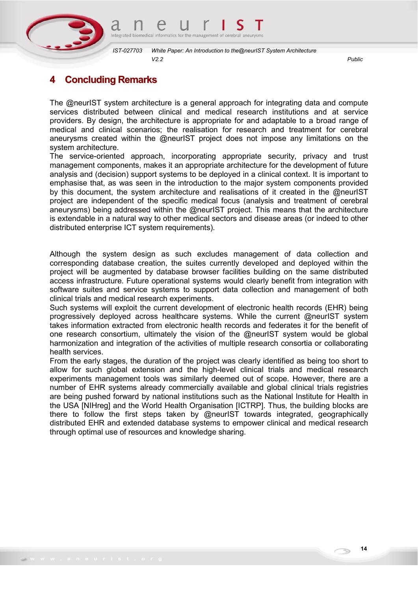

# **4 Concluding Remarks**

The @neurIST system architecture is a general approach for integrating data and compute services distributed between clinical and medical research institutions and at service providers. By design, the architecture is appropriate for and adaptable to a broad range of medical and clinical scenarios; the realisation for research and treatment for cerebral aneurysms created within the @neurIST project does not impose any limitations on the system architecture.

The service-oriented approach, incorporating appropriate security, privacy and trust management components, makes it an appropriate architecture for the development of future analysis and (decision) support systems to be deployed in a clinical context. It is important to emphasise that, as was seen in the introduction to the major system components provided by this document, the system architecture and realisations of it created in the @neurIST project are independent of the specific medical focus (analysis and treatment of cerebral aneurysms) being addressed within the @neurIST project. This means that the architecture is extendable in a natural way to other medical sectors and disease areas (or indeed to other distributed enterprise ICT system requirements).

Although the system design as such excludes management of data collection and corresponding database creation, the suites currently developed and deployed within the project will be augmented by database browser facilities building on the same distributed access infrastructure. Future operational systems would clearly benefit from integration with software suites and service systems to support data collection and management of both clinical trials and medical research experiments.

Such systems will exploit the current development of electronic health records (EHR) being progressively deployed across healthcare systems. While the current @neurIST system takes information extracted from electronic health records and federates it for the benefit of one research consortium, ultimately the vision of the @neurIST system would be global harmonization and integration of the activities of multiple research consortia or collaborating health services.

From the early stages, the duration of the project was clearly identified as being too short to allow for such global extension and the high-level clinical trials and medical research experiments management tools was similarly deemed out of scope. However, there are a number of EHR systems already commercially available and global clinical trials registries are being pushed forward by national institutions such as the National Institute for Health in the USA [NIHreg] and the World Health Organisation [ICTRP]. Thus, the building blocks are there to follow the first steps taken by @neurIST towards integrated, geographically distributed EHR and extended database systems to empower clinical and medical research through optimal use of resources and knowledge sharing.